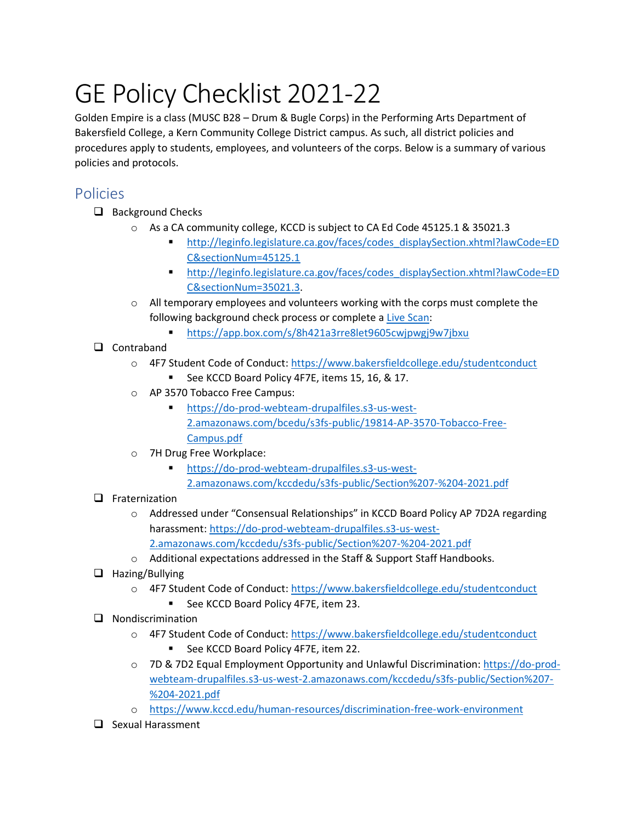# GE Policy Checklist 2021-22

Golden Empire is a class (MUSC B28 – Drum & Bugle Corps) in the Performing Arts Department of Bakersfield College, a Kern Community College District campus. As such, all district policies and procedures apply to students, employees, and volunteers of the corps. Below is a summary of various policies and protocols.

## Policies

- ❑ Background Checks
	- o As a CA community college, KCCD is subject to CA Ed Code 45125.1 & 35021.3
		- [http://leginfo.legislature.ca.gov/faces/codes\\_displaySection.xhtml?lawCode=ED](http://leginfo.legislature.ca.gov/faces/codes_displaySection.xhtml?lawCode=EDC§ionNum=45125.1) [C&sectionNum=45125.1](http://leginfo.legislature.ca.gov/faces/codes_displaySection.xhtml?lawCode=EDC§ionNum=45125.1)
		- [http://leginfo.legislature.ca.gov/faces/codes\\_displaySection.xhtml?lawCode=ED](http://leginfo.legislature.ca.gov/faces/codes_displaySection.xhtml?lawCode=EDC§ionNum=35021.3) [C&sectionNum=35021.3.](http://leginfo.legislature.ca.gov/faces/codes_displaySection.xhtml?lawCode=EDC§ionNum=35021.3)
	- o All temporary employees and volunteers working with the corps must complete the following background check process or complete a [Live Scan:](https://www.oag.ca.gov/fingerprints)
		- <https://app.box.com/s/8h421a3rre8let9605cwjpwgj9w7jbxu>
- ❑ Contraband
	- o 4F7 Student Code of Conduct:<https://www.bakersfieldcollege.edu/studentconduct> See KCCD Board Policy 4F7E, items 15, 16, & 17.
	- o AP 3570 Tobacco Free Campus:
		- [https://do-prod-webteam-drupalfiles.s3-us-west-](https://do-prod-webteam-drupalfiles.s3-us-west-2.amazonaws.com/bcedu/s3fs-public/19814-AP-3570-Tobacco-Free-Campus.pdf)[2.amazonaws.com/bcedu/s3fs-public/19814-AP-3570-Tobacco-Free-](https://do-prod-webteam-drupalfiles.s3-us-west-2.amazonaws.com/bcedu/s3fs-public/19814-AP-3570-Tobacco-Free-Campus.pdf)[Campus.pdf](https://do-prod-webteam-drupalfiles.s3-us-west-2.amazonaws.com/bcedu/s3fs-public/19814-AP-3570-Tobacco-Free-Campus.pdf)
	- o 7H Drug Free Workplace:
		- [https://do-prod-webteam-drupalfiles.s3-us-west-](https://do-prod-webteam-drupalfiles.s3-us-west-2.amazonaws.com/kccdedu/s3fs-public/Section%207-%204-2021.pdf)[2.amazonaws.com/kccdedu/s3fs-public/Section%207-%204-2021.pdf](https://do-prod-webteam-drupalfiles.s3-us-west-2.amazonaws.com/kccdedu/s3fs-public/Section%207-%204-2021.pdf)

#### ❑ Fraternization

- o Addressed under "Consensual Relationships" in KCCD Board Policy AP 7D2A regarding harassment: [https://do-prod-webteam-drupalfiles.s3-us-west-](https://do-prod-webteam-drupalfiles.s3-us-west-2.amazonaws.com/kccdedu/s3fs-public/Section%207-%204-2021.pdf)[2.amazonaws.com/kccdedu/s3fs-public/Section%207-%204-2021.pdf](https://do-prod-webteam-drupalfiles.s3-us-west-2.amazonaws.com/kccdedu/s3fs-public/Section%207-%204-2021.pdf)
- $\circ$  Additional expectations addressed in the Staff & Support Staff Handbooks.
- ❑ Hazing/Bullying
	- o 4F7 Student Code of Conduct:<https://www.bakersfieldcollege.edu/studentconduct>
		- See KCCD Board Policy 4F7E, item 23.
- ❑ Nondiscrimination
	- o 4F7 Student Code of Conduct:<https://www.bakersfieldcollege.edu/studentconduct>
		- See KCCD Board Policy 4F7E, item 22.
	- o 7D & 7D2 Equal Employment Opportunity and Unlawful Discrimination: [https://do-prod](https://do-prod-webteam-drupalfiles.s3-us-west-2.amazonaws.com/kccdedu/s3fs-public/Section%207-%204-2021.pdf)[webteam-drupalfiles.s3-us-west-2.amazonaws.com/kccdedu/s3fs-public/Section%207-](https://do-prod-webteam-drupalfiles.s3-us-west-2.amazonaws.com/kccdedu/s3fs-public/Section%207-%204-2021.pdf) [%204-2021.pdf](https://do-prod-webteam-drupalfiles.s3-us-west-2.amazonaws.com/kccdedu/s3fs-public/Section%207-%204-2021.pdf)
	- o <https://www.kccd.edu/human-resources/discrimination-free-work-environment>
- ❑ Sexual Harassment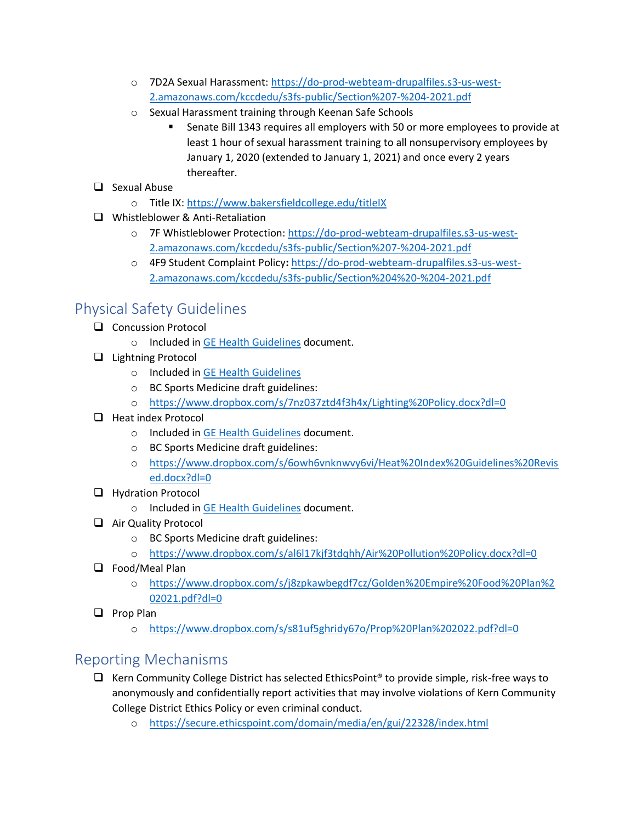- o 7D2A Sexual Harassment: [https://do-prod-webteam-drupalfiles.s3-us-west-](https://do-prod-webteam-drupalfiles.s3-us-west-2.amazonaws.com/kccdedu/s3fs-public/Section%207-%204-2021.pdf)[2.amazonaws.com/kccdedu/s3fs-public/Section%207-%204-2021.pdf](https://do-prod-webteam-drupalfiles.s3-us-west-2.amazonaws.com/kccdedu/s3fs-public/Section%207-%204-2021.pdf)
- o Sexual Harassment training through Keenan Safe Schools
	- Senate Bill 1343 requires all employers with 50 or more employees to provide at least 1 hour of sexual harassment training to all nonsupervisory employees by January 1, 2020 (extended to January 1, 2021) and once every 2 years thereafter.
- ❑ Sexual Abuse
	- o Title IX:<https://www.bakersfieldcollege.edu/titleIX>
- ❑ Whistleblower & Anti-Retaliation
	- o 7F Whistleblower Protection: [https://do-prod-webteam-drupalfiles.s3-us-west-](https://do-prod-webteam-drupalfiles.s3-us-west-2.amazonaws.com/kccdedu/s3fs-public/Section%207-%204-2021.pdf)[2.amazonaws.com/kccdedu/s3fs-public/Section%207-%204-2021.pdf](https://do-prod-webteam-drupalfiles.s3-us-west-2.amazonaws.com/kccdedu/s3fs-public/Section%207-%204-2021.pdf)
	- o 4F9 Student Complaint Policy**:** [https://do-prod-webteam-drupalfiles.s3-us-west-](https://do-prod-webteam-drupalfiles.s3-us-west-2.amazonaws.com/kccdedu/s3fs-public/Section%204%20-%204-2021.pdf)[2.amazonaws.com/kccdedu/s3fs-public/Section%204%20-%204-2021.pdf](https://do-prod-webteam-drupalfiles.s3-us-west-2.amazonaws.com/kccdedu/s3fs-public/Section%204%20-%204-2021.pdf)

## Physical Safety Guidelines

- ❑ Concussion Protocol
	- o Included in [GE Health Guidelines](https://www.dropbox.com/s/d9mptxu2qy56b5m/GE%20Health%20Guidelines%202022.pdf?dl=0) document.
- ❑ Lightning Protocol
	- o Included in [GE Health Guidelines](https://www.dropbox.com/s/d9mptxu2qy56b5m/GE%20Health%20Guidelines%202022.pdf?dl=0)
	- o BC Sports Medicine draft guidelines:
	- o <https://www.dropbox.com/s/7nz037ztd4f3h4x/Lighting%20Policy.docx?dl=0>
- ❑ Heat index Protocol
	- o Included in [GE Health Guidelines](https://www.dropbox.com/s/d9mptxu2qy56b5m/GE%20Health%20Guidelines%202022.pdf?dl=0) document.
	- o BC Sports Medicine draft guidelines:
	- o [https://www.dropbox.com/s/6owh6vnknwvy6vi/Heat%20Index%20Guidelines%20Revis](https://www.dropbox.com/s/6owh6vnknwvy6vi/Heat%20Index%20Guidelines%20Revised.docx?dl=0) [ed.docx?dl=0](https://www.dropbox.com/s/6owh6vnknwvy6vi/Heat%20Index%20Guidelines%20Revised.docx?dl=0)
- ❑ Hydration Protocol
	- o Included in [GE Health Guidelines](https://www.dropbox.com/s/d9mptxu2qy56b5m/GE%20Health%20Guidelines%202022.pdf?dl=0) document.
- ❑ Air Quality Protocol
	- o BC Sports Medicine draft guidelines:
	- o <https://www.dropbox.com/s/al6l17kjf3tdqhh/Air%20Pollution%20Policy.docx?dl=0>
- ❑ Food/Meal Plan
	- o [https://www.dropbox.com/s/j8zpkawbegdf7cz/Golden%20Empire%20Food%20Plan%2](https://www.dropbox.com/s/j8zpkawbegdf7cz/Golden%20Empire%20Food%20Plan%202021.pdf?dl=0) [02021.pdf?dl=0](https://www.dropbox.com/s/j8zpkawbegdf7cz/Golden%20Empire%20Food%20Plan%202021.pdf?dl=0)
- ❑ Prop Plan
	- o <https://www.dropbox.com/s/s81uf5ghridy67o/Prop%20Plan%202022.pdf?dl=0>

## Reporting Mechanisms

- ❑ Kern Community College District has selected EthicsPoint® to provide simple, risk-free ways to anonymously and confidentially report activities that may involve violations of Kern Community College District Ethics Policy or even criminal conduct.
	- o <https://secure.ethicspoint.com/domain/media/en/gui/22328/index.html>